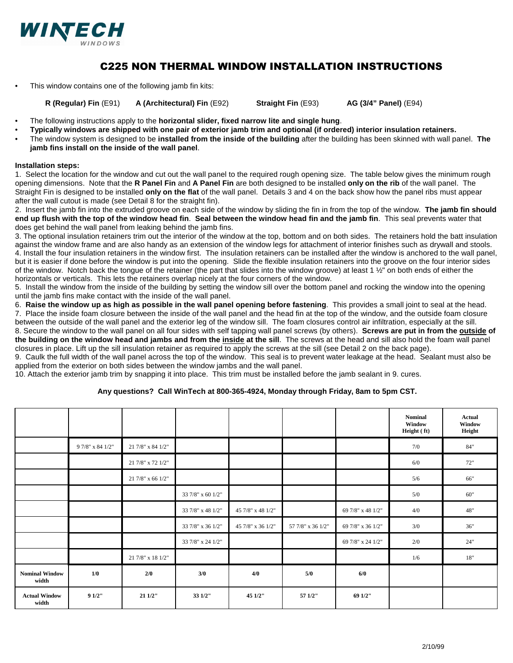

## C225 NON THERMAL WINDOW INSTALLATION INSTRUCTIONS

This window contains one of the following jamb fin kits:

**R (Regular) Fin** (E91) **A (Architectural) Fin** (E92) **Straight Fin** (E93) **AG (3/4" Panel)** (E94)

- The following instructions apply to the **horizontal slider, fixed narrow lite and single hung**.
- **Typically windows are shipped with one pair of exterior jamb trim and optional (if ordered) interior insulation retainers.**
- The window system is designed to be **installed from the inside of the building** after the building has been skinned with wall panel. **The jamb fins install on the inside of the wall panel**.

## **Installation steps:**

1. Select the location for the window and cut out the wall panel to the required rough opening size. The table below gives the minimum rough opening dimensions. Note that the **R Panel Fin** and **A Panel Fin** are both designed to be installed **only on the rib** of the wall panel. The Straight Fin is designed to be installed **only on the flat** of the wall panel. Details 3 and 4 on the back show how the panel ribs must appear after the wall cutout is made (see Detail 8 for the straight fin).

2. Insert the jamb fin into the extruded groove on each side of the window by sliding the fin in from the top of the window. **The jamb fin should end up flush with the top of the window head fin**. **Seal between the window head fin and the jamb fin**. This seal prevents water that does get behind the wall panel from leaking behind the jamb fins.

3. The optional insulation retainers trim out the interior of the window at the top, bottom and on both sides. The retainers hold the batt insulation against the window frame and are also handy as an extension of the window legs for attachment of interior finishes such as drywall and stools. 4. Install the four insulation retainers in the window first. The insulation retainers can be installed after the window is anchored to the wall panel, but it is easier if done before the window is put into the opening. Slide the flexible insulation retainers into the groove on the four interior sides of the window. Notch back the tongue of the retainer (the part that slides into the window groove) at least  $1\frac{1}{2}$ " on both ends of either the horizontals or verticals. This lets the retainers overlap nicely at the four corners of the window.

5. Install the window from the inside of the building by setting the window sill over the bottom panel and rocking the window into the opening until the jamb fins make contact with the inside of the wall panel.

6. **Raise the window up as high as possible in the wall panel opening before fastening**. This provides a small joint to seal at the head. 7. Place the inside foam closure between the inside of the wall panel and the head fin at the top of the window, and the outside foam closure between the outside of the wall panel and the exterior leg of the window sill. The foam closures control air infiltration, especially at the sill. 8. Secure the window to the wall panel on all four sides with self tapping wall panel screws (by others). **Screws are put in from the outside of** 

**the building on the window head and jambs and from the inside at the sill**. The screws at the head and sill also hold the foam wall panel closures in place. Lift up the sill insulation retainer as required to apply the screws at the sill (see Detail 2 on the back page).

9.Caulk the full width of the wall panel across the top of the window. This seal is to prevent water leakage at the head. Sealant must also be applied from the exterior on both sides between the window jambs and the wall panel.

10. Attach the exterior jamb trim by snapping it into place. This trim must be installed before the jamb sealant in 9. cures.

## **Any questions? Call WinTech at 800-365-4924, Monday through Friday, 8am to 5pm CST.**

|                                |                  |                   |                     |                   |                   |                   | <b>Nominal</b><br>Window<br>Height (ft) | Actual<br>Window<br>Height |
|--------------------------------|------------------|-------------------|---------------------|-------------------|-------------------|-------------------|-----------------------------------------|----------------------------|
|                                | 9 7/8" x 84 1/2" | 21 7/8" x 84 1/2" |                     |                   |                   |                   | 7/0                                     | 84"                        |
|                                |                  | 21 7/8" x 72 1/2" |                     |                   |                   |                   | 6/0                                     | 72"                        |
|                                |                  | 21 7/8" x 66 1/2" |                     |                   |                   |                   | 5/6                                     | 66"                        |
|                                |                  |                   | 33 7/8" x 60 1/2"   |                   |                   |                   | 5/0                                     | 60"                        |
|                                |                  |                   | 33 7/8" x 48 1/2"   | 45 7/8" x 48 1/2" |                   | 69 7/8" x 48 1/2" | 4/0                                     | 48"                        |
|                                |                  |                   | 33 7/8" x 36 1/2"   | 45 7/8" x 36 1/2" | 57 7/8" x 36 1/2" | 69 7/8" x 36 1/2" | 3/0                                     | 36"                        |
|                                |                  |                   | $33$ 7/8" x 24 1/2" |                   |                   | 69 7/8" x 24 1/2" | 2/0                                     | 24"                        |
|                                |                  | 21 7/8" x 18 1/2" |                     |                   |                   |                   | 1/6                                     | $18"$                      |
| <b>Nominal Window</b><br>width | 1/0              | 2/0               | 3/0                 | 4/0               | 5/0               | 6/0               |                                         |                            |
| <b>Actual Window</b><br>width  | 91/2"            | 21 1/2"           | 33 1/2"             | 45 1/2"           | 57 1/2"           | 69 1/2"           |                                         |                            |